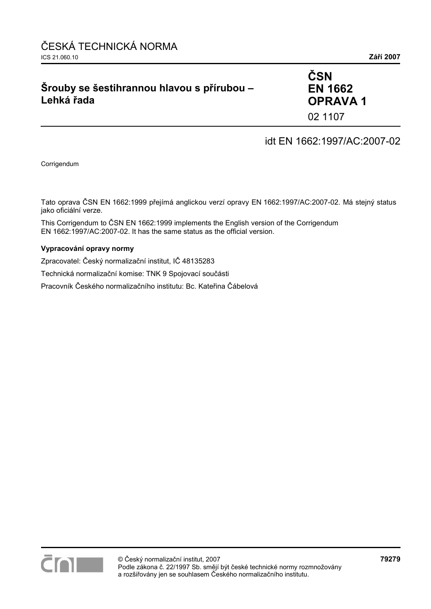## **Šrouby se šestihrannou hlavou s přírubou – Lehká řada**

## **ČSN EN 1662 OPRAVA 1**  02 1107

idt EN 1662:1997/AC:2007-02

Corrigendum

Tato oprava ČSN EN 1662:1999 přejímá anglickou verzí opravy EN 1662:1997/AC:2007-02. Má stejný status jako oficiální verze.

This Corrigendum to ČSN EN 1662:1999 implements the English version of the Corrigendum EN 1662:1997/AC:2007-02. It has the same status as the official version.

#### **Vypracování opravy normy**

Zpracovatel: Český normalizační institut, IČ 48135283

Technická normalizační komise: TNK 9 Spojovací součásti

Pracovník Českého normalizačního institutu: Bc. Kateřina Čábelová

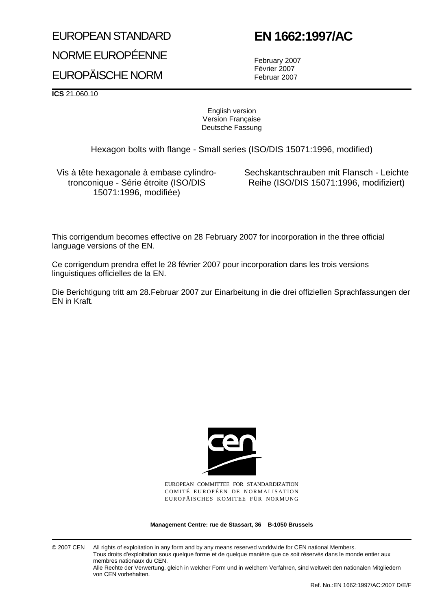# EUROPEAN STANDARD

# NORME EUROPÉENNE EUROPÄISCHE NORM

# **EN 1662:1997/AC**

February 2007 Février 2007 Februar 2007

**ICS** 21.060.10

English version Version Française Deutsche Fassung

Hexagon bolts with flange - Small series (ISO/DIS 15071:1996, modified)

Vis à tête hexagonale à embase cylindrotronconique - Série étroite (ISO/DIS 15071:1996, modifiée)

Sechskantschrauben mit Flansch - Leichte Reihe (ISO/DIS 15071:1996, modifiziert)

This corrigendum becomes effective on 28 February 2007 for incorporation in the three official language versions of the EN.

Ce corrigendum prendra effet le 28 février 2007 pour incorporation dans les trois versions linguistiques officielles de la EN.

Die Berichtigung tritt am 28.Februar 2007 zur Einarbeitung in die drei offiziellen Sprachfassungen der EN in Kraft.



EUROPEAN COMMITTEE FOR STANDARDIZATION COMITÉ EUROPÉEN DE NORMALISATION EUROPÄISCHES KOMITEE FÜR NORMUNG

**Management Centre: rue de Stassart, 36 B-1050 Brussels**

© 2007 CEN All rights of exploitation in any form and by any means reserved worldwide for CEN national Members. Tous droits d'exploitation sous quelque forme et de quelque manière que ce soit réservés dans le monde entier aux membres nationaux du CEN.

Alle Rechte der Verwertung, gleich in welcher Form und in welchem Verfahren, sind weltweit den nationalen Mitgliedern von CEN vorbehalten.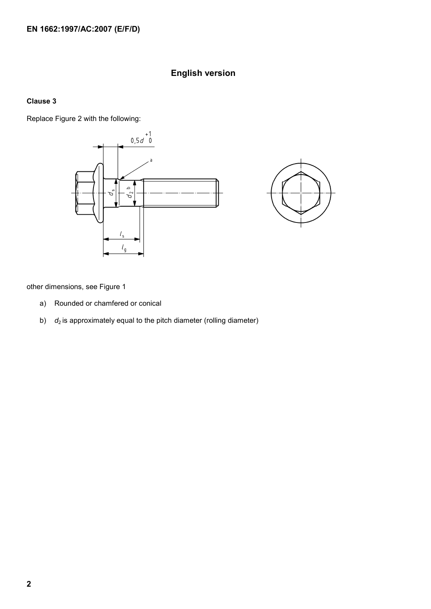### **English version**

#### **Clause 3**

Replace Figure 2 with the following:





other dimensions, see Figure 1

- a) Rounded or chamfered or conical
- b) *d*<sub>2</sub> is approximately equal to the pitch diameter (rolling diameter)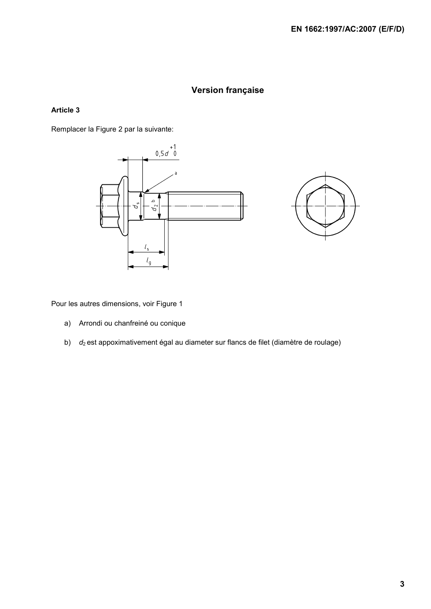#### **Version française**

#### **Article 3**

Remplacer la Figure 2 par la suivante:





Pour les autres dimensions, voir Figure 1

- a) Arrondi ou chanfreiné ou conique
- b) *d*<sub>2</sub> est appoximativement égal au diameter sur flancs de filet (diamètre de roulage)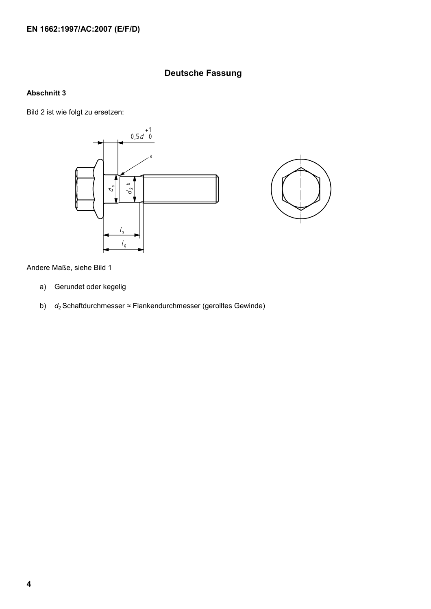#### **Deutsche Fassung**

#### **Abschnitt 3**

Bild 2 ist wie folgt zu ersetzen:





Andere Maße, siehe Bild 1

- a) Gerundet oder kegelig
- b) *d*2 Schaftdurchmesser ≈ Flankendurchmesser (gerolltes Gewinde)